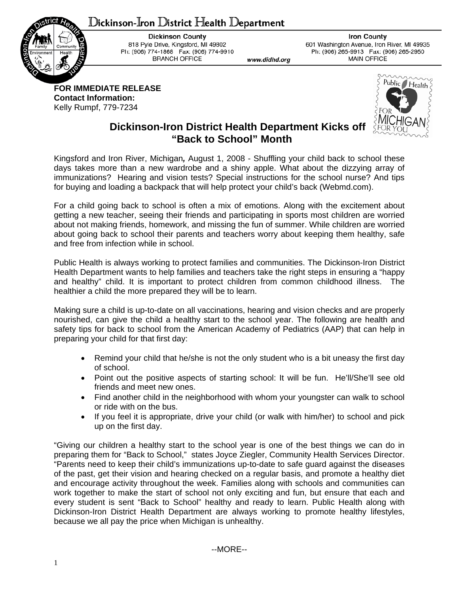## Dickinson-Iron District Health Department



**Dickinson County** 818 Pyle Drive, Kingsford, MI 49802 Ph: (906) 774-1868 Fax: (906) 774-9910 **BRANCH OFFICE** 

**Iron County** 601 Washington Avenue, Iron River, MI 49935 Ph: (906) 265-9913 Fax: (906) 265-2950 **MAIN OFFICE** 

**FOR IMMEDIATE RELEASE Contact Information:**  Kelly Rumpf, 779-7234



## **Dickinson-Iron District Health Department Kicks off "Back to School" Month**

www.didhd.org

Kingsford and Iron River, Michigan*,* August 1, 2008 - Shuffling your child back to school these days takes more than a new wardrobe and a shiny apple. What about the dizzying array of immunizations? Hearing and vision tests? Special instructions for the school nurse? And tips for buying and loading a backpack that will help protect your child's back (Webmd.com).

For a child going back to school is often a mix of emotions. Along with the excitement about getting a new teacher, seeing their friends and participating in sports most children are worried about not making friends, homework, and missing the fun of summer. While children are worried about going back to school their parents and teachers worry about keeping them healthy, safe and free from infection while in school.

Public Health is always working to protect families and communities. The Dickinson-Iron District Health Department wants to help families and teachers take the right steps in ensuring a "happy and healthy" child. It is important to protect children from common childhood illness. The healthier a child the more prepared they will be to learn.

Making sure a child is up-to-date on all vaccinations, hearing and vision checks and are properly nourished, can give the child a healthy start to the school year. The following are health and safety tips for back to school from the American Academy of Pediatrics (AAP) that can help in preparing your child for that first day:

- Remind your child that he/she is not the only student who is a bit uneasy the first day of school.
- Point out the positive aspects of starting school: It will be fun. He'll/She'll see old friends and meet new ones.
- Find another child in the neighborhood with whom your youngster can walk to school or ride with on the bus.
- If you feel it is appropriate, drive your child (or walk with him/her) to school and pick up on the first day.

"Giving our children a healthy start to the school year is one of the best things we can do in preparing them for "Back to School," states Joyce Ziegler, Community Health Services Director. "Parents need to keep their child's immunizations up-to-date to safe guard against the diseases of the past, get their vision and hearing checked on a regular basis, and promote a healthy diet and encourage activity throughout the week. Families along with schools and communities can work together to make the start of school not only exciting and fun, but ensure that each and every student is sent "Back to School" healthy and ready to learn. Public Health along with Dickinson-Iron District Health Department are always working to promote healthy lifestyles, because we all pay the price when Michigan is unhealthy.